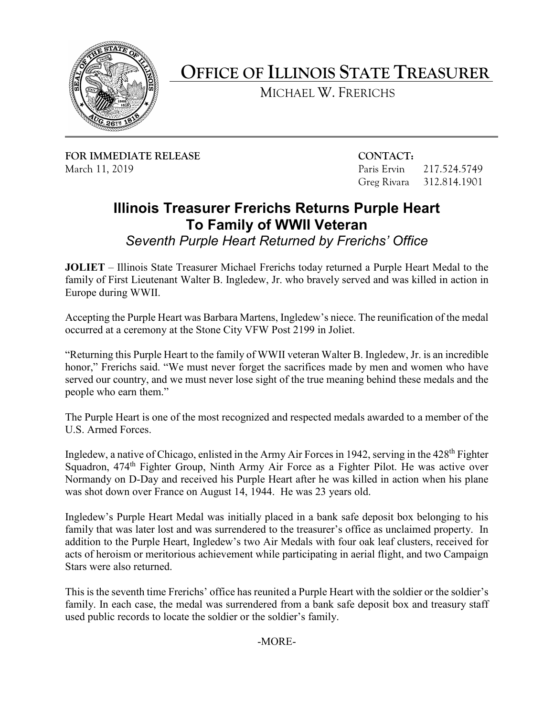

## **OFFICE OF ILLINOIS STATE TREASURER**

MICHAEL W. FRERICHS

**FOR IMMEDIATE RELEASE CONTACT:** March 11, 2019 Paris Ervin 217.524.5749

Greg Rivara 312.814.1901

## **Illinois Treasurer Frerichs Returns Purple Heart To Family of WWII Veteran**

*Seventh Purple Heart Returned by Frerichs' Office* 

 Europe during WWII. **JOLIET** – Illinois State Treasurer Michael Frerichs today returned a Purple Heart Medal to the family of First Lieutenant Walter B. Ingledew, Jr. who bravely served and was killed in action in

Accepting the Purple Heart was Barbara Martens, Ingledew's niece. The reunification of the medal occurred at a ceremony at the Stone City VFW Post 2199 in Joliet.

 served our country, and we must never lose sight of the true meaning behind these medals and the "Returning this Purple Heart to the family of WWII veteran Walter B. Ingledew, Jr. is an incredible honor," Frerichs said. "We must never forget the sacrifices made by men and women who have people who earn them."

The Purple Heart is one of the most recognized and respected medals awarded to a member of the U.S. Armed Forces.

Ingledew, a native of Chicago, enlisted in the Army Air Forces in 1942, serving in the 428<sup>th</sup> Fighter Squadron, 474<sup>th</sup> Fighter Group, Ninth Army Air Force as a Fighter Pilot. He was active over Normandy on D-Day and received his Purple Heart after he was killed in action when his plane was shot down over France on August 14, 1944. He was 23 years old.

 family that was later lost and was surrendered to the treasurer's office as unclaimed property. In Ingledew's Purple Heart Medal was initially placed in a bank safe deposit box belonging to his addition to the Purple Heart, Ingledew's two Air Medals with four oak leaf clusters, received for acts of heroism or meritorious achievement while participating in aerial flight, and two Campaign Stars were also returned.

 family. In each case, the medal was surrendered from a bank safe deposit box and treasury staff This is the seventh time Frerichs' office has reunited a Purple Heart with the soldier or the soldier's used public records to locate the soldier or the soldier's family.

-MORE-